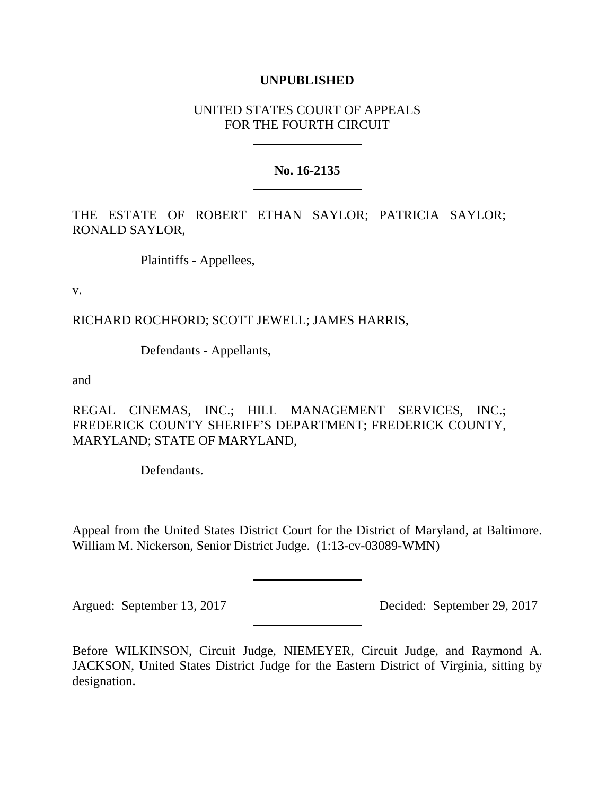## **UNPUBLISHED**

# UNITED STATES COURT OF APPEALS FOR THE FOURTH CIRCUIT

#### **No. 16-2135**

THE ESTATE OF ROBERT ETHAN SAYLOR; PATRICIA SAYLOR; RONALD SAYLOR,

Plaintiffs - Appellees,

v.

RICHARD ROCHFORD; SCOTT JEWELL; JAMES HARRIS,

Defendants - Appellants,

and

REGAL CINEMAS, INC.; HILL MANAGEMENT SERVICES, INC.; FREDERICK COUNTY SHERIFF'S DEPARTMENT; FREDERICK COUNTY, MARYLAND; STATE OF MARYLAND,

Defendants.

Appeal from the United States District Court for the District of Maryland, at Baltimore. William M. Nickerson, Senior District Judge. (1:13-cv-03089-WMN)

Argued: September 13, 2017 Decided: September 29, 2017

Before WILKINSON, Circuit Judge, NIEMEYER, Circuit Judge, and Raymond A. JACKSON, United States District Judge for the Eastern District of Virginia, sitting by designation.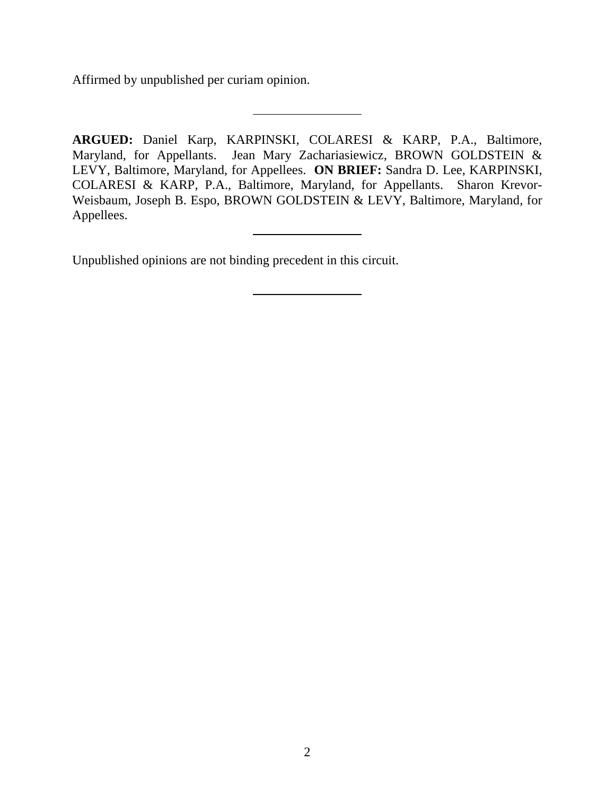Affirmed by unpublished per curiam opinion.

**ARGUED:** Daniel Karp, KARPINSKI, COLARESI & KARP, P.A., Baltimore, Maryland, for Appellants. Jean Mary Zachariasiewicz, BROWN GOLDSTEIN & LEVY, Baltimore, Maryland, for Appellees. **ON BRIEF:** Sandra D. Lee, KARPINSKI, COLARESI & KARP, P.A., Baltimore, Maryland, for Appellants. Sharon Krevor-Weisbaum, Joseph B. Espo, BROWN GOLDSTEIN & LEVY, Baltimore, Maryland, for Appellees.

Unpublished opinions are not binding precedent in this circuit.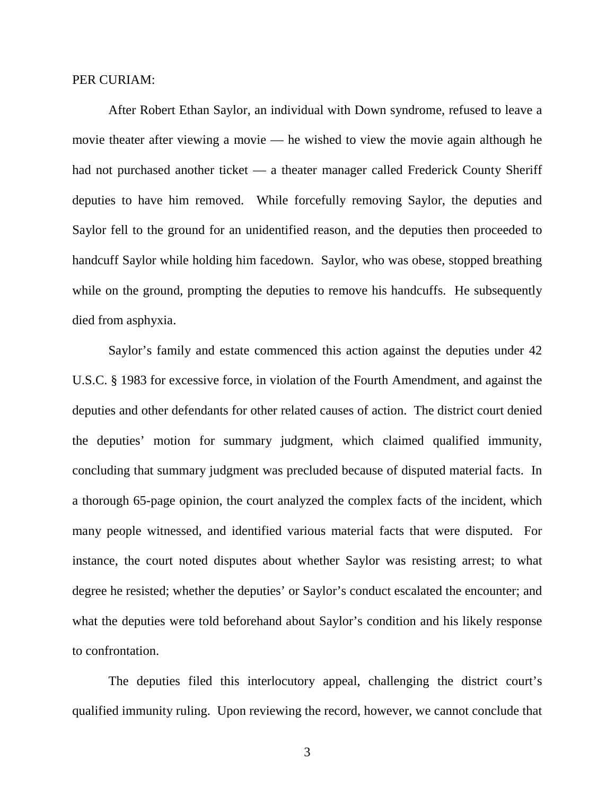## PER CURIAM:

After Robert Ethan Saylor, an individual with Down syndrome, refused to leave a movie theater after viewing a movie — he wished to view the movie again although he had not purchased another ticket — a theater manager called Frederick County Sheriff deputies to have him removed. While forcefully removing Saylor, the deputies and Saylor fell to the ground for an unidentified reason, and the deputies then proceeded to handcuff Saylor while holding him facedown. Saylor, who was obese, stopped breathing while on the ground, prompting the deputies to remove his handcuffs. He subsequently died from asphyxia.

Saylor's family and estate commenced this action against the deputies under 42 U.S.C. § 1983 for excessive force, in violation of the Fourth Amendment, and against the deputies and other defendants for other related causes of action. The district court denied the deputies' motion for summary judgment, which claimed qualified immunity, concluding that summary judgment was precluded because of disputed material facts. In a thorough 65-page opinion, the court analyzed the complex facts of the incident, which many people witnessed, and identified various material facts that were disputed. For instance, the court noted disputes about whether Saylor was resisting arrest; to what degree he resisted; whether the deputies' or Saylor's conduct escalated the encounter; and what the deputies were told beforehand about Saylor's condition and his likely response to confrontation.

The deputies filed this interlocutory appeal, challenging the district court's qualified immunity ruling. Upon reviewing the record, however, we cannot conclude that

3